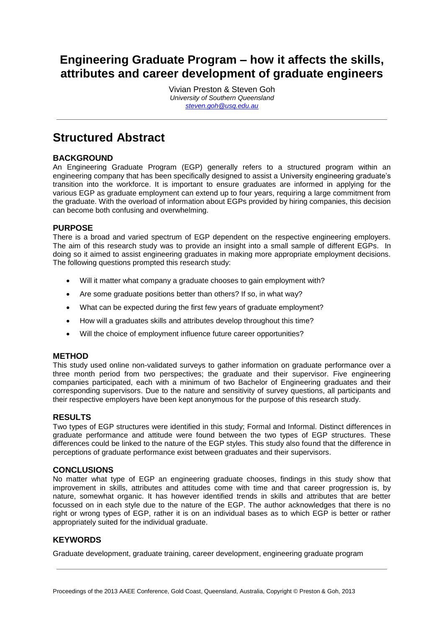## **Engineering Graduate Program – how it affects the skills, attributes and career development of graduate engineers**

Vivian Preston & Steven Goh *University of Southern Queensland [steven.goh@usq.edu.au](mailto:steven.goh@usq.edu.au)*

## **Structured Abstract**

#### **BACKGROUND**

An Engineering Graduate Program (EGP) generally refers to a structured program within an engineering company that has been specifically designed to assist a University engineering graduate's transition into the workforce. It is important to ensure graduates are informed in applying for the various EGP as graduate employment can extend up to four years, requiring a large commitment from the graduate. With the overload of information about EGPs provided by hiring companies, this decision can become both confusing and overwhelming.

#### **PURPOSE**

There is a broad and varied spectrum of EGP dependent on the respective engineering employers. The aim of this research study was to provide an insight into a small sample of different EGPs. In doing so it aimed to assist engineering graduates in making more appropriate employment decisions. The following questions prompted this research study:

- Will it matter what company a graduate chooses to gain employment with?
- Are some graduate positions better than others? If so, in what way?
- What can be expected during the first few years of graduate employment?
- How will a graduates skills and attributes develop throughout this time?
- Will the choice of employment influence future career opportunities?

#### **METHOD**

This study used online non-validated surveys to gather information on graduate performance over a three month period from two perspectives; the graduate and their supervisor. Five engineering companies participated, each with a minimum of two Bachelor of Engineering graduates and their corresponding supervisors. Due to the nature and sensitivity of survey questions, all participants and their respective employers have been kept anonymous for the purpose of this research study.

#### **RESULTS**

Two types of EGP structures were identified in this study; Formal and Informal. Distinct differences in graduate performance and attitude were found between the two types of EGP structures. These differences could be linked to the nature of the EGP styles. This study also found that the difference in perceptions of graduate performance exist between graduates and their supervisors.

#### **CONCLUSIONS**

No matter what type of EGP an engineering graduate chooses, findings in this study show that improvement in skills, attributes and attitudes come with time and that career progression is, by nature, somewhat organic. It has however identified trends in skills and attributes that are better focussed on in each style due to the nature of the EGP. The author acknowledges that there is no right or wrong types of EGP, rather it is on an individual bases as to which EGP is better or rather appropriately suited for the individual graduate.

#### **KEYWORDS**

Graduate development, graduate training, career development, engineering graduate program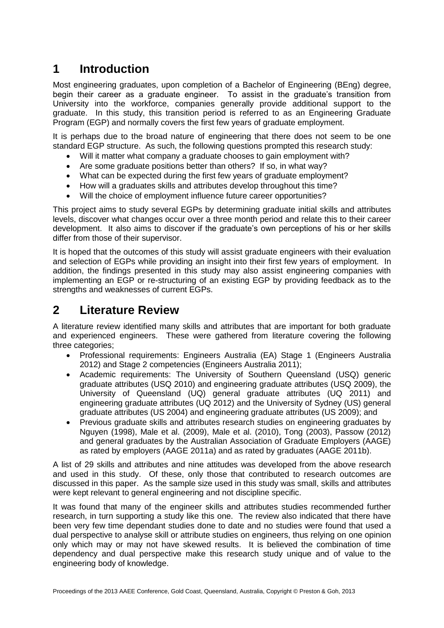# **1 Introduction**

Most engineering graduates, upon completion of a Bachelor of Engineering (BEng) degree, begin their career as a graduate engineer. To assist in the graduate's transition from University into the workforce, companies generally provide additional support to the graduate. In this study, this transition period is referred to as an Engineering Graduate Program (EGP) and normally covers the first few years of graduate employment.

It is perhaps due to the broad nature of engineering that there does not seem to be one standard EGP structure. As such, the following questions prompted this research study:

- Will it matter what company a graduate chooses to gain employment with?
- Are some graduate positions better than others? If so, in what way?
- What can be expected during the first few years of graduate employment?
- How will a graduates skills and attributes develop throughout this time?
- Will the choice of employment influence future career opportunities?

This project aims to study several EGPs by determining graduate initial skills and attributes levels, discover what changes occur over a three month period and relate this to their career development. It also aims to discover if the graduate's own perceptions of his or her skills differ from those of their supervisor.

It is hoped that the outcomes of this study will assist graduate engineers with their evaluation and selection of EGPs while providing an insight into their first few years of employment. In addition, the findings presented in this study may also assist engineering companies with implementing an EGP or re-structuring of an existing EGP by providing feedback as to the strengths and weaknesses of current EGPs.

### **2 Literature Review**

A literature review identified many skills and attributes that are important for both graduate and experienced engineers. These were gathered from literature covering the following three categories;

- Professional requirements: Engineers Australia (EA) Stage 1 (Engineers Australia 2012) and Stage 2 competencies (Engineers Australia 2011);
- Academic requirements: The University of Southern Queensland (USQ) generic graduate attributes (USQ 2010) and engineering graduate attributes (USQ 2009), the University of Queensland (UQ) general graduate attributes (UQ 2011) and engineering graduate attributes (UQ 2012) and the University of Sydney (US) general graduate attributes (US 2004) and engineering graduate attributes (US 2009); and
- Previous graduate skills and attributes research studies on engineering graduates by Nguyen (1998), Male et al. (2009), Male et al. (2010), Tong (2003), Passow (2012) and general graduates by the Australian Association of Graduate Employers (AAGE) as rated by employers (AAGE 2011a) and as rated by graduates (AAGE 2011b).

A list of 29 skills and attributes and nine attitudes was developed from the above research and used in this study. Of these, only those that contributed to research outcomes are discussed in this paper. As the sample size used in this study was small, skills and attributes were kept relevant to general engineering and not discipline specific.

It was found that many of the engineer skills and attributes studies recommended further research, in turn supporting a study like this one. The review also indicated that there have been very few time dependant studies done to date and no studies were found that used a dual perspective to analyse skill or attribute studies on engineers, thus relying on one opinion only which may or may not have skewed results. It is believed the combination of time dependency and dual perspective make this research study unique and of value to the engineering body of knowledge.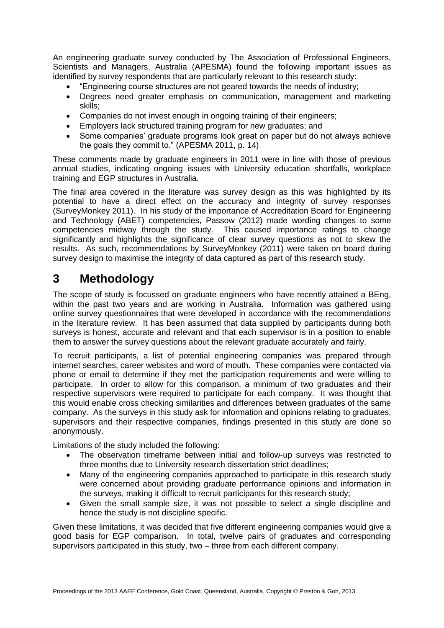An engineering graduate survey conducted by The Association of Professional Engineers, Scientists and Managers, Australia (APESMA) found the following important issues as identified by survey respondents that are particularly relevant to this research study:

- "Engineering course structures are not geared towards the needs of industry;
- Degrees need greater emphasis on communication, management and marketing skills;
- Companies do not invest enough in ongoing training of their engineers;
- Employers lack structured training program for new graduates; and
- Some companies' graduate programs look great on paper but do not always achieve the goals they commit to." (APESMA 2011, p. 14)

These comments made by graduate engineers in 2011 were in line with those of previous annual studies, indicating ongoing issues with University education shortfalls, workplace training and EGP structures in Australia.

The final area covered in the literature was survey design as this was highlighted by its potential to have a direct effect on the accuracy and integrity of survey responses (SurveyMonkey 2011). In his study of the importance of Accreditation Board for Engineering and Technology (ABET) competencies, Passow (2012) made wording changes to some competencies midway through the study. This caused importance ratings to change significantly and highlights the significance of clear survey questions as not to skew the results. As such, recommendations by SurveyMonkey (2011) were taken on board during survey design to maximise the integrity of data captured as part of this research study.

## **3 Methodology**

The scope of study is focussed on graduate engineers who have recently attained a BEng, within the past two years and are working in Australia. Information was gathered using online survey questionnaires that were developed in accordance with the recommendations in the literature review. It has been assumed that data supplied by participants during both surveys is honest, accurate and relevant and that each supervisor is in a position to enable them to answer the survey questions about the relevant graduate accurately and fairly.

To recruit participants, a list of potential engineering companies was prepared through internet searches, career websites and word of mouth. These companies were contacted via phone or email to determine if they met the participation requirements and were willing to participate. In order to allow for this comparison, a minimum of two graduates and their respective supervisors were required to participate for each company. It was thought that this would enable cross checking similarities and differences between graduates of the same company. As the surveys in this study ask for information and opinions relating to graduates, supervisors and their respective companies, findings presented in this study are done so anonymously.

Limitations of the study included the following:

- The observation timeframe between initial and follow-up surveys was restricted to three months due to University research dissertation strict deadlines;
- Many of the engineering companies approached to participate in this research study were concerned about providing graduate performance opinions and information in the surveys, making it difficult to recruit participants for this research study;
- Given the small sample size, it was not possible to select a single discipline and hence the study is not discipline specific.

Given these limitations, it was decided that five different engineering companies would give a good basis for EGP comparison. In total, twelve pairs of graduates and corresponding supervisors participated in this study, two – three from each different company.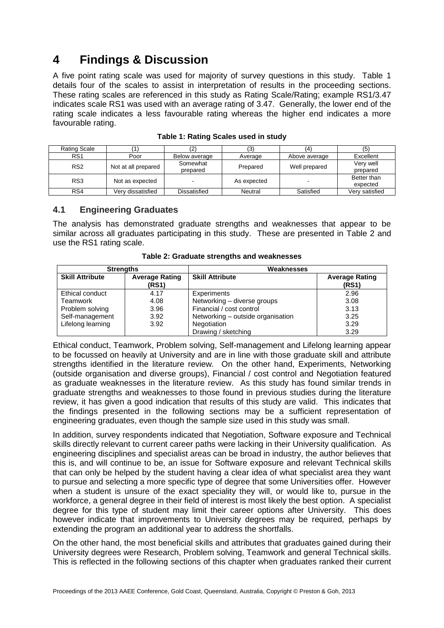# **4 Findings & Discussion**

A five point rating scale was used for majority of survey questions in this study. Table 1 details four of the scales to assist in interpretation of results in the proceeding sections. These rating scales are referenced in this study as Rating Scale/Rating; example RS1/3.47 indicates scale RS1 was used with an average rating of 3.47. Generally, the lower end of the rating scale indicates a less favourable rating whereas the higher end indicates a more favourable rating.

| Rating Scale    |                     |               | (3)         | 14.           | (5             |
|-----------------|---------------------|---------------|-------------|---------------|----------------|
| RS <sub>1</sub> | Poor                | Below average | Average     | Above average | Excellent      |
| RS <sub>2</sub> | Not at all prepared | Somewhat      | Prepared    | Well prepared | Very well      |
|                 |                     | prepared      |             |               | prepared       |
| RS3             | Not as expected     |               | As expected | -             | Better than    |
|                 |                     |               |             |               | expected       |
| RS4             | Verv dissatisfied   | Dissatisfied  | Neutral     | Satisfied     | Verv satisfied |

#### **4.1 Engineering Graduates**

The analysis has demonstrated graduate strengths and weaknesses that appear to be similar across all graduates participating in this study. These are presented in Table 2 and use the RS1 rating scale.

| <b>Strengths</b>       |                                | Weaknesses                        |                                |  |
|------------------------|--------------------------------|-----------------------------------|--------------------------------|--|
| <b>Skill Attribute</b> | <b>Average Rating</b><br>(RS1) | <b>Skill Attribute</b>            | <b>Average Rating</b><br>(RS1) |  |
| Ethical conduct        | 4.17                           | Experiments                       | 2.96                           |  |
| Teamwork               | 4.08                           | Networking - diverse groups       | 3.08                           |  |
| Problem solving        | 3.96                           | Financial / cost control          | 3.13                           |  |
| Self-management        | 3.92                           | Networking - outside organisation | 3.25                           |  |
| Lifelong learning      | 3.92                           | Negotiation                       | 3.29                           |  |
|                        |                                | Drawing / sketching               | 3.29                           |  |

**Table 2: Graduate strengths and weaknesses**

Ethical conduct, Teamwork, Problem solving, Self-management and Lifelong learning appear to be focussed on heavily at University and are in line with those graduate skill and attribute strengths identified in the literature review. On the other hand, Experiments, Networking (outside organisation and diverse groups), Financial / cost control and Negotiation featured as graduate weaknesses in the literature review. As this study has found similar trends in graduate strengths and weaknesses to those found in previous studies during the literature review, it has given a good indication that results of this study are valid. This indicates that the findings presented in the following sections may be a sufficient representation of engineering graduates, even though the sample size used in this study was small.

In addition, survey respondents indicated that Negotiation, Software exposure and Technical skills directly relevant to current career paths were lacking in their University qualification. As engineering disciplines and specialist areas can be broad in industry, the author believes that this is, and will continue to be, an issue for Software exposure and relevant Technical skills that can only be helped by the student having a clear idea of what specialist area they want to pursue and selecting a more specific type of degree that some Universities offer. However when a student is unsure of the exact speciality they will, or would like to, pursue in the workforce, a general degree in their field of interest is most likely the best option. A specialist degree for this type of student may limit their career options after University. This does however indicate that improvements to University degrees may be required, perhaps by extending the program an additional year to address the shortfalls.

On the other hand, the most beneficial skills and attributes that graduates gained during their University degrees were Research, Problem solving, Teamwork and general Technical skills. This is reflected in the following sections of this chapter when graduates ranked their current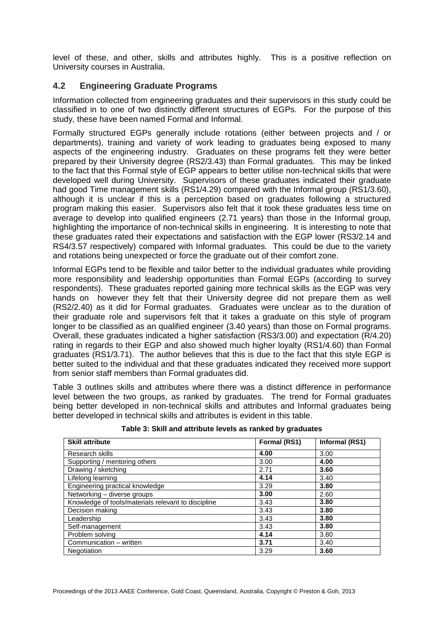level of these, and other, skills and attributes highly. This is a positive reflection on University courses in Australia.

#### **4.2 Engineering Graduate Programs**

Information collected from engineering graduates and their supervisors in this study could be classified in to one of two distinctly different structures of EGPs. For the purpose of this study, these have been named Formal and Informal.

Formally structured EGPs generally include rotations (either between projects and / or departments), training and variety of work leading to graduates being exposed to many aspects of the engineering industry. Graduates on these programs felt they were better prepared by their University degree (RS2/3.43) than Formal graduates. This may be linked to the fact that this Formal style of EGP appears to better utilise non-technical skills that were developed well during University. Supervisors of these graduates indicated their graduate had good Time management skills (RS1/4.29) compared with the Informal group (RS1/3.60), although it is unclear if this is a perception based on graduates following a structured program making this easier. Supervisors also felt that it took these graduates less time on average to develop into qualified engineers (2.71 years) than those in the Informal group, highlighting the importance of non-technical skills in engineering. It is interesting to note that these graduates rated their expectations and satisfaction with the EGP lower (RS3/2.14 and RS4/3.57 respectively) compared with Informal graduates. This could be due to the variety and rotations being unexpected or force the graduate out of their comfort zone.

Informal EGPs tend to be flexible and tailor better to the individual graduates while providing more responsibility and leadership opportunities than Formal EGPs (according to survey respondents). These graduates reported gaining more technical skills as the EGP was very hands on however they felt that their University degree did not prepare them as well (RS2/2.40) as it did for Formal graduates. Graduates were unclear as to the duration of their graduate role and supervisors felt that it takes a graduate on this style of program longer to be classified as an qualified engineer (3.40 years) than those on Formal programs. Overall, these graduates indicated a higher satisfaction (RS3/3.00) and expectation (R/4.20) rating in regards to their EGP and also showed much higher loyalty (RS1/4.60) than Formal graduates (RS1/3.71). The author believes that this is due to the fact that this style EGP is better suited to the individual and that these graduates indicated they received more support from senior staff members than Formal graduates did.

Table 3 outlines skills and attributes where there was a distinct difference in performance level between the two groups, as ranked by graduates. The trend for Formal graduates being better developed in non-technical skills and attributes and Informal graduates being better developed in technical skills and attributes is evident in this table.

| <b>Skill attribute</b>                              | Formal (RS1) | Informal (RS1) |
|-----------------------------------------------------|--------------|----------------|
| Research skills                                     | 4.00         | 3.00           |
| Supporting / mentoring others                       | 3.00         | 4.00           |
| Drawing / sketching                                 | 2.71         | 3.60           |
| Lifelong learning                                   | 4.14         | 3.40           |
| Engineering practical knowledge                     | 3.29         | 3.80           |
| Networking - diverse groups                         | 3.00         | 2.60           |
| Knowledge of tools/materials relevant to discipline | 3.43         | 3.80           |
| Decision making                                     | 3.43         | 3.80           |
| Leadership                                          | 3.43         | 3.80           |
| Self-management                                     | 3.43         | 3.80           |
| Problem solving                                     | 4.14         | 3.80           |
| Communication - written                             | 3.71         | 3.40           |
| Negotiation                                         | 3.29         | 3.60           |

**Table 3: Skill and attribute levels as ranked by graduates**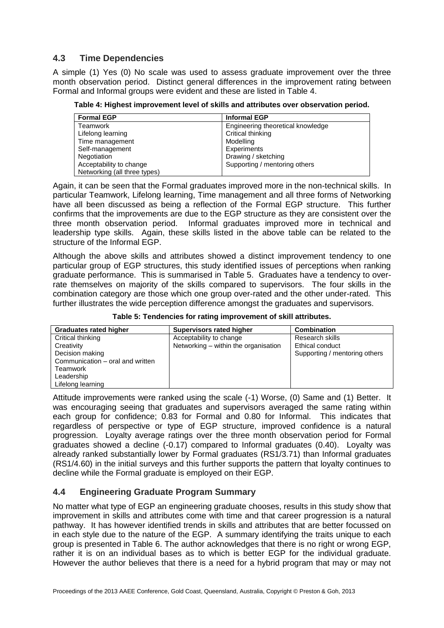#### **4.3 Time Dependencies**

A simple (1) Yes (0) No scale was used to assess graduate improvement over the three month observation period. Distinct general differences in the improvement rating between Formal and Informal groups were evident and these are listed in Table 4.

| Table 4: Highest improvement level of skills and attributes over observation period. |  |  |
|--------------------------------------------------------------------------------------|--|--|
|--------------------------------------------------------------------------------------|--|--|

| <b>Formal EGP</b>            | <b>Informal EGP</b>               |
|------------------------------|-----------------------------------|
| Teamwork                     | Engineering theoretical knowledge |
| Lifelong learning            | Critical thinking                 |
| Time management              | Modelling                         |
| Self-management              | Experiments                       |
| Negotiation                  | Drawing / sketching               |
| Acceptability to change      | Supporting / mentoring others     |
| Networking (all three types) |                                   |

Again, it can be seen that the Formal graduates improved more in the non-technical skills. In particular Teamwork, Lifelong learning, Time management and all three forms of Networking have all been discussed as being a reflection of the Formal EGP structure. This further confirms that the improvements are due to the EGP structure as they are consistent over the three month observation period. Informal graduates improved more in technical and leadership type skills. Again, these skills listed in the above table can be related to the structure of the Informal EGP.

Although the above skills and attributes showed a distinct improvement tendency to one particular group of EGP structures, this study identified issues of perceptions when ranking graduate performance. This is summarised in Table 5. Graduates have a tendency to overrate themselves on majority of the skills compared to supervisors. The four skills in the combination category are those which one group over-rated and the other under-rated. This further illustrates the wide perception difference amongst the graduates and supervisors.

**Table 5: Tendencies for rating improvement of skill attributes.**

| <b>Graduates rated higher</b>    | Supervisors rated higher             | <b>Combination</b>            |
|----------------------------------|--------------------------------------|-------------------------------|
| Critical thinking                | Acceptability to change              | Research skills               |
| Creativity                       | Networking – within the organisation | Ethical conduct               |
| Decision making                  |                                      | Supporting / mentoring others |
| Communication – oral and written |                                      |                               |
| Teamwork                         |                                      |                               |
| Leadership                       |                                      |                               |
| Lifelong learning                |                                      |                               |

Attitude improvements were ranked using the scale (-1) Worse, (0) Same and (1) Better. It was encouraging seeing that graduates and supervisors averaged the same rating within each group for confidence; 0.83 for Formal and 0.80 for Informal. This indicates that regardless of perspective or type of EGP structure, improved confidence is a natural progression. Loyalty average ratings over the three month observation period for Formal graduates showed a decline (-0.17) compared to Informal graduates (0.40). Loyalty was already ranked substantially lower by Formal graduates (RS1/3.71) than Informal graduates (RS1/4.60) in the initial surveys and this further supports the pattern that loyalty continues to decline while the Formal graduate is employed on their EGP.

#### **4.4 Engineering Graduate Program Summary**

No matter what type of EGP an engineering graduate chooses, results in this study show that improvement in skills and attributes come with time and that career progression is a natural pathway. It has however identified trends in skills and attributes that are better focussed on in each style due to the nature of the EGP. A summary identifying the traits unique to each group is presented in Table 6. The author acknowledges that there is no right or wrong EGP, rather it is on an individual bases as to which is better EGP for the individual graduate. However the author believes that there is a need for a hybrid program that may or may not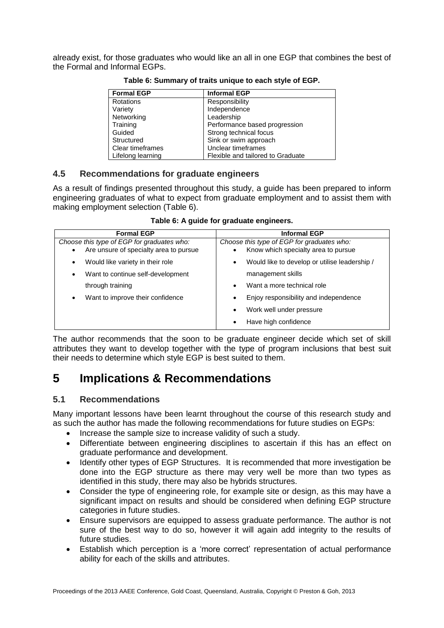already exist, for those graduates who would like an all in one EGP that combines the best of the Formal and Informal EGPs.

| <b>Formal EGP</b> | <b>Informal EGP</b>               |
|-------------------|-----------------------------------|
| Rotations         | Responsibility                    |
| Variety           | Independence                      |
| Networking        | Leadership                        |
| Training          | Performance based progression     |
| Guided            | Strong technical focus            |
| Structured        | Sink or swim approach             |
| Clear timeframes  | Unclear timeframes                |
| Lifelong learning | Flexible and tailored to Graduate |

**Table 6: Summary of traits unique to each style of EGP.**

#### **4.5 Recommendations for graduate engineers**

As a result of findings presented throughout this study, a guide has been prepared to inform engineering graduates of what to expect from graduate employment and to assist them with making employment selection (Table 6).

| <b>Formal EGP</b>                                   | <b>Informal EGP</b>                                        |
|-----------------------------------------------------|------------------------------------------------------------|
| Choose this type of EGP for graduates who:          | Choose this type of EGP for graduates who:                 |
| Are unsure of specialty area to pursue<br>$\bullet$ | Know which specialty area to pursue                        |
| Would like variety in their role<br>٠               | Would like to develop or utilise leadership /<br>$\bullet$ |
| Want to continue self-development<br>٠              | management skills                                          |
| through training                                    | Want a more technical role<br>$\bullet$                    |
| Want to improve their confidence<br>٠               | Enjoy responsibility and independence<br>$\bullet$         |
|                                                     | Work well under pressure<br>$\bullet$                      |
|                                                     | Have high confidence                                       |

**Table 6: A guide for graduate engineers.**

The author recommends that the soon to be graduate engineer decide which set of skill attributes they want to develop together with the type of program inclusions that best suit their needs to determine which style EGP is best suited to them.

# **5 Implications & Recommendations**

### **5.1 Recommendations**

Many important lessons have been learnt throughout the course of this research study and as such the author has made the following recommendations for future studies on EGPs:

- Increase the sample size to increase validity of such a study.
- Differentiate between engineering disciplines to ascertain if this has an effect on graduate performance and development.
- Identify other types of EGP Structures. It is recommended that more investigation be done into the EGP structure as there may very well be more than two types as identified in this study, there may also be hybrids structures.
- Consider the type of engineering role, for example site or design, as this may have a significant impact on results and should be considered when defining EGP structure categories in future studies.
- Ensure supervisors are equipped to assess graduate performance. The author is not sure of the best way to do so, however it will again add integrity to the results of future studies.
- Establish which perception is a 'more correct' representation of actual performance ability for each of the skills and attributes.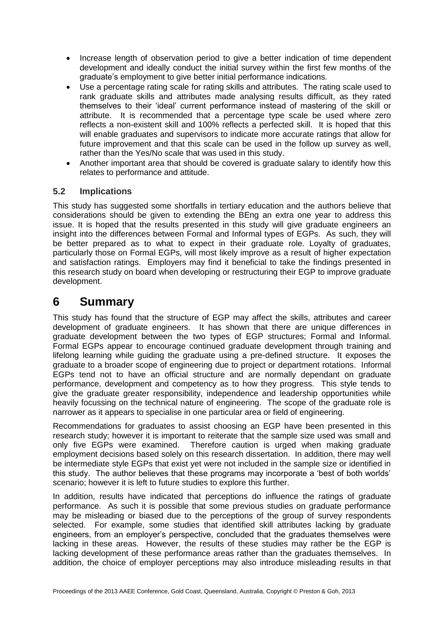- Increase length of observation period to give a better indication of time dependent development and ideally conduct the initial survey within the first few months of the graduate's employment to give better initial performance indications.
- Use a percentage rating scale for rating skills and attributes. The rating scale used to rank graduate skills and attributes made analysing results difficult, as they rated themselves to their "ideal" current performance instead of mastering of the skill or attribute. It is recommended that a percentage type scale be used where zero reflects a non-existent skill and 100% reflects a perfected skill. It is hoped that this will enable graduates and supervisors to indicate more accurate ratings that allow for future improvement and that this scale can be used in the follow up survey as well, rather than the Yes/No scale that was used in this study.
- Another important area that should be covered is graduate salary to identify how this relates to performance and attitude.

#### **5.2 Implications**

This study has suggested some shortfalls in tertiary education and the authors believe that considerations should be given to extending the BEng an extra one year to address this issue. It is hoped that the results presented in this study will give graduate engineers an insight into the differences between Formal and Informal types of EGPs. As such, they will be better prepared as to what to expect in their graduate role. Loyalty of graduates, particularly those on Formal EGPs, will most likely improve as a result of higher expectation and satisfaction ratings. Employers may find it beneficial to take the findings presented in this research study on board when developing or restructuring their EGP to improve graduate development.

### **6 Summary**

This study has found that the structure of EGP may affect the skills, attributes and career development of graduate engineers. It has shown that there are unique differences in graduate development between the two types of EGP structures; Formal and Informal. Formal EGPs appear to encourage continued graduate development through training and lifelong learning while guiding the graduate using a pre-defined structure. It exposes the graduate to a broader scope of engineering due to project or department rotations. Informal EGPs tend not to have an official structure and are normally dependant on graduate performance, development and competency as to how they progress. This style tends to give the graduate greater responsibility, independence and leadership opportunities while heavily focussing on the technical nature of engineering. The scope of the graduate role is narrower as it appears to specialise in one particular area or field of engineering.

Recommendations for graduates to assist choosing an EGP have been presented in this research study; however it is important to reiterate that the sample size used was small and only five EGPs were examined. Therefore caution is urged when making graduate employment decisions based solely on this research dissertation. In addition, there may well be intermediate style EGPs that exist yet were not included in the sample size or identified in this study. The author believes that these programs may incorporate a "best of both worlds" scenario; however it is left to future studies to explore this further.

In addition, results have indicated that perceptions do influence the ratings of graduate performance. As such it is possible that some previous studies on graduate performance may be misleading or biased due to the perceptions of the group of survey respondents selected. For example, some studies that identified skill attributes lacking by graduate engineers, from an employer"s perspective, concluded that the graduates themselves were lacking in these areas. However, the results of these studies may rather be the EGP is lacking development of these performance areas rather than the graduates themselves. In addition, the choice of employer perceptions may also introduce misleading results in that